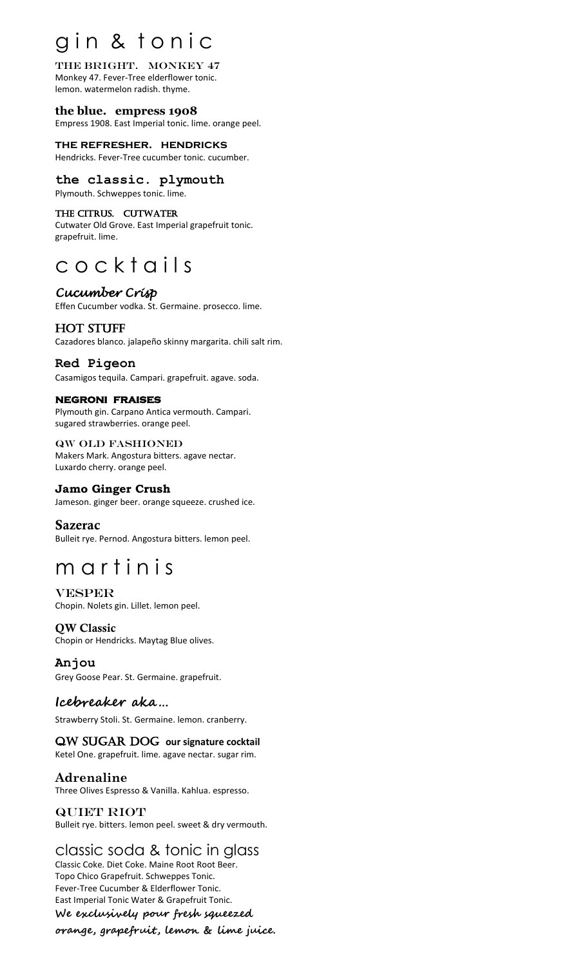# gin & tonic

#### the bright. Monkey 47 Monkey 47. Fever-Tree elderflower tonic. lemon. watermelon radish. thyme.

**the blue. empress 1908**  Empress 1908. East Imperial tonic. lime. orange peel.

**the refresher. hendricks** Hendricks. Fever-Tree cucumber tonic. cucumber.

## **the classic. plymouth**

Plymouth. Schweppes tonic. lime.

## THE CITRUS. CUTWATER

Cutwater Old Grove. East Imperial grapefruit tonic. grapefruit. lime.

# c o c k t a ils

## *Cucumber Crisp*

Effen Cucumber vodka. St. Germaine. prosecco. lime.

## hot stuff

Cazadores blanco. jalapeño skinny margarita. chili salt rim.

## **Red Pigeon**

Casamigos tequila. Campari. grapefruit. agave. soda.

## **negroni fraises**

Plymouth gin. Carpano Antica vermouth. Campari. sugared strawberries. orange peel.

#### qw old fashioned Makers Mark. Angostura bitters. agave nectar. Luxardo cherry. orange peel.

## **Jamo Ginger Crush**

Jameson. ginger beer. orange squeeze. crushed ice.

## Sazerac

Bulleit rye. Pernod. Angostura bitters. lemon peel.

# m a r t i n i s

**VESPER** Chopin. Nolets gin. Lillet. lemon peel.

### QW Classic Chopin or Hendricks. Maytag Blue olives.

**Anjou**  Grey Goose Pear. St. Germaine. grapefruit.

## **Icebreaker aka…**

Strawberry Stoli. St. Germaine. lemon. cranberry.

## QW SUGAR DOG our signature cocktail

Ketel One. grapefruit. lime. agave nectar. sugar rim.

## **Adrenaline**

Three Olives Espresso & Vanilla. Kahlua. espresso.

#### QUIET RIOT Bulleit rye. bitters. lemon peel. sweet & dry vermouth.

# classic soda & tonic in glass

Classic Coke. Diet Coke. Maine Root Root Beer. Topo Chico Grapefruit. Schweppes Tonic. Fever-Tree Cucumber & Elderflower Tonic. East Imperial Tonic Water & Grapefruit Tonic. **We exclusively pour fresh squeezed** 

**orange, grapefruit, lemon & lime juice.**